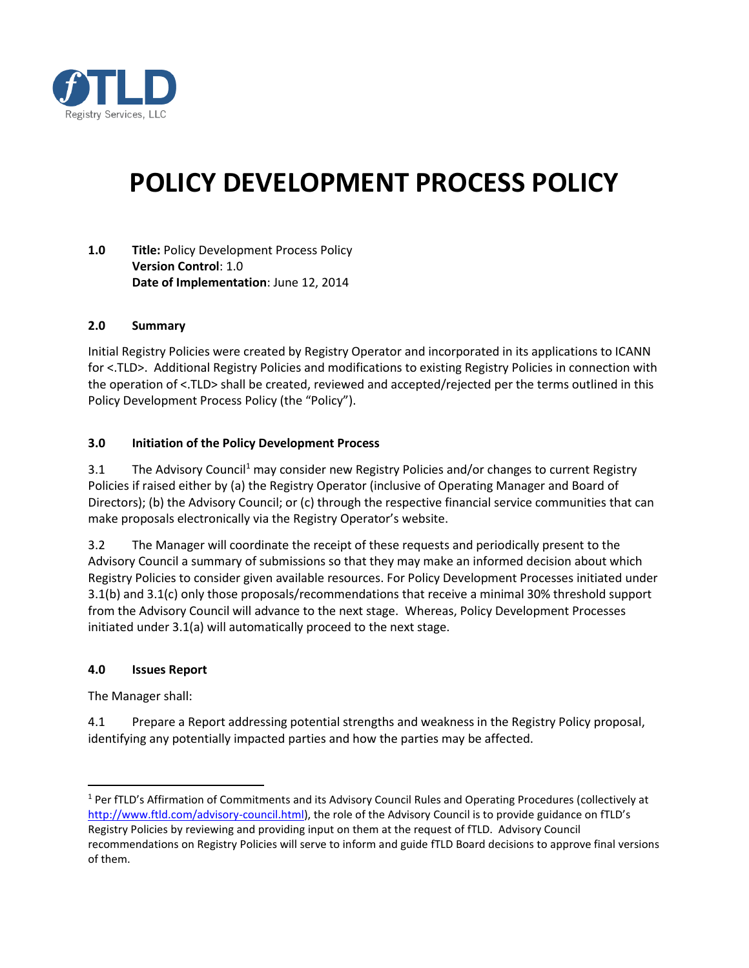

# **POLICY DEVELOPMENT PROCESS POLICY**

**1.0 Title:** Policy Development Process Policy **Version Control**: 1.0 **Date of Implementation**: June 12, 2014

#### **2.0 Summary**

Initial Registry Policies were created by Registry Operator and incorporated in its applications to ICANN for <.TLD>. Additional Registry Policies and modifications to existing Registry Policies in connection with the operation of <.TLD> shall be created, reviewed and accepted/rejected per the terms outlined in this Policy Development Process Policy (the "Policy").

#### **3.0 Initiation of the Policy Development Process**

3.1 The Advisory Council<sup>1</sup> may consider new Registry Policies and/or changes to current Registry Policies if raised either by (a) the Registry Operator (inclusive of Operating Manager and Board of Directors); (b) the Advisory Council; or (c) through the respective financial service communities that can make proposals electronically via the Registry Operator's website.

3.2 The Manager will coordinate the receipt of these requests and periodically present to the Advisory Council a summary of submissions so that they may make an informed decision about which Registry Policies to consider given available resources. For Policy Development Processes initiated under 3.1(b) and 3.1(c) only those proposals/recommendations that receive a minimal 30% threshold support from the Advisory Council will advance to the next stage. Whereas, Policy Development Processes initiated under 3.1(a) will automatically proceed to the next stage.

#### **4.0 Issues Report**

The Manager shall:

l

4.1 Prepare a Report addressing potential strengths and weakness in the Registry Policy proposal, identifying any potentially impacted parties and how the parties may be affected.

<sup>&</sup>lt;sup>1</sup> Per fTLD's Affirmation of Commitments and its Advisory Council Rules and Operating Procedures (collectively at [http://www.ftld.com/advisory-council.html\)](http://www.ftld.com/advisory-council.html), the role of the Advisory Council is to provide guidance on fTLD's Registry Policies by reviewing and providing input on them at the request of fTLD. Advisory Council recommendations on Registry Policies will serve to inform and guide fTLD Board decisions to approve final versions of them.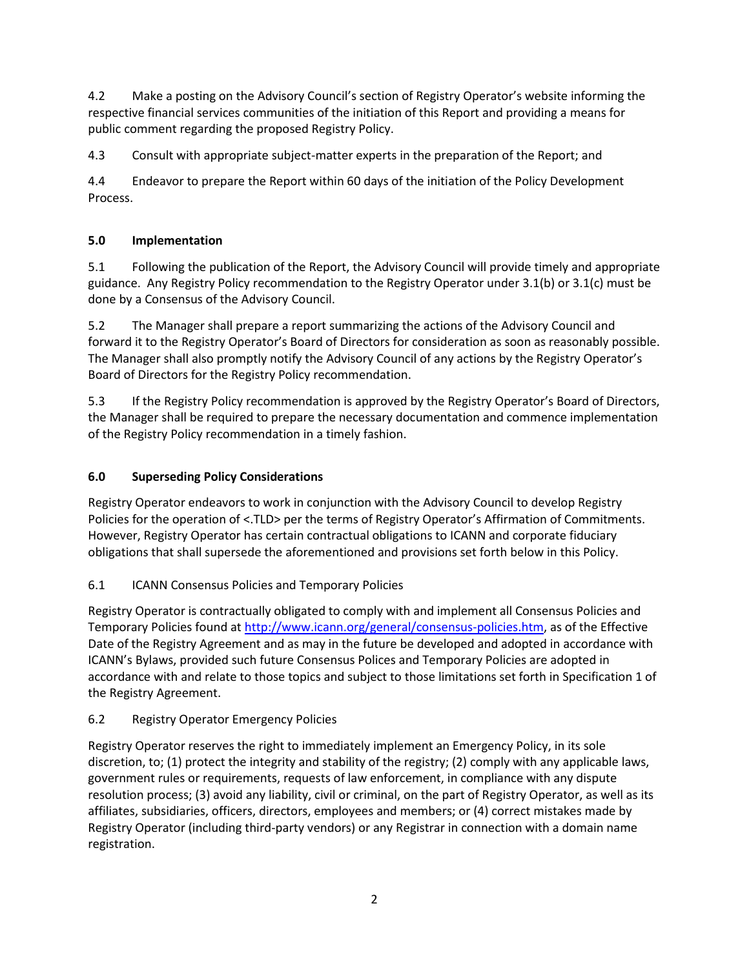4.2 Make a posting on the Advisory Council's section of Registry Operator's website informing the respective financial services communities of the initiation of this Report and providing a means for public comment regarding the proposed Registry Policy.

4.3 Consult with appropriate subject-matter experts in the preparation of the Report; and

4.4 Endeavor to prepare the Report within 60 days of the initiation of the Policy Development Process.

# **5.0 Implementation**

5.1 Following the publication of the Report, the Advisory Council will provide timely and appropriate guidance. Any Registry Policy recommendation to the Registry Operator under 3.1(b) or 3.1(c) must be done by a Consensus of the Advisory Council.

5.2 The Manager shall prepare a report summarizing the actions of the Advisory Council and forward it to the Registry Operator's Board of Directors for consideration as soon as reasonably possible. The Manager shall also promptly notify the Advisory Council of any actions by the Registry Operator's Board of Directors for the Registry Policy recommendation.

5.3 If the Registry Policy recommendation is approved by the Registry Operator's Board of Directors, the Manager shall be required to prepare the necessary documentation and commence implementation of the Registry Policy recommendation in a timely fashion.

# **6.0 Superseding Policy Considerations**

Registry Operator endeavors to work in conjunction with the Advisory Council to develop Registry Policies for the operation of <.TLD> per the terms of Registry Operator's Affirmation of Commitments. However, Registry Operator has certain contractual obligations to ICANN and corporate fiduciary obligations that shall supersede the aforementioned and provisions set forth below in this Policy.

# 6.1 ICANN Consensus Policies and Temporary Policies

Registry Operator is contractually obligated to comply with and implement all Consensus Policies and Temporary Policies found at [http://www.icann.org/general/consensus-policies.htm,](http://www.icann.org/general/consensus-policies.htm) as of the Effective Date of the Registry Agreement and as may in the future be developed and adopted in accordance with ICANN's Bylaws, provided such future Consensus Polices and Temporary Policies are adopted in accordance with and relate to those topics and subject to those limitations set forth in Specification 1 of the Registry Agreement.

# 6.2 Registry Operator Emergency Policies

Registry Operator reserves the right to immediately implement an Emergency Policy, in its sole discretion, to; (1) protect the integrity and stability of the registry; (2) comply with any applicable laws, government rules or requirements, requests of law enforcement, in compliance with any dispute resolution process; (3) avoid any liability, civil or criminal, on the part of Registry Operator, as well as its affiliates, subsidiaries, officers, directors, employees and members; or (4) correct mistakes made by Registry Operator (including third-party vendors) or any Registrar in connection with a domain name registration.